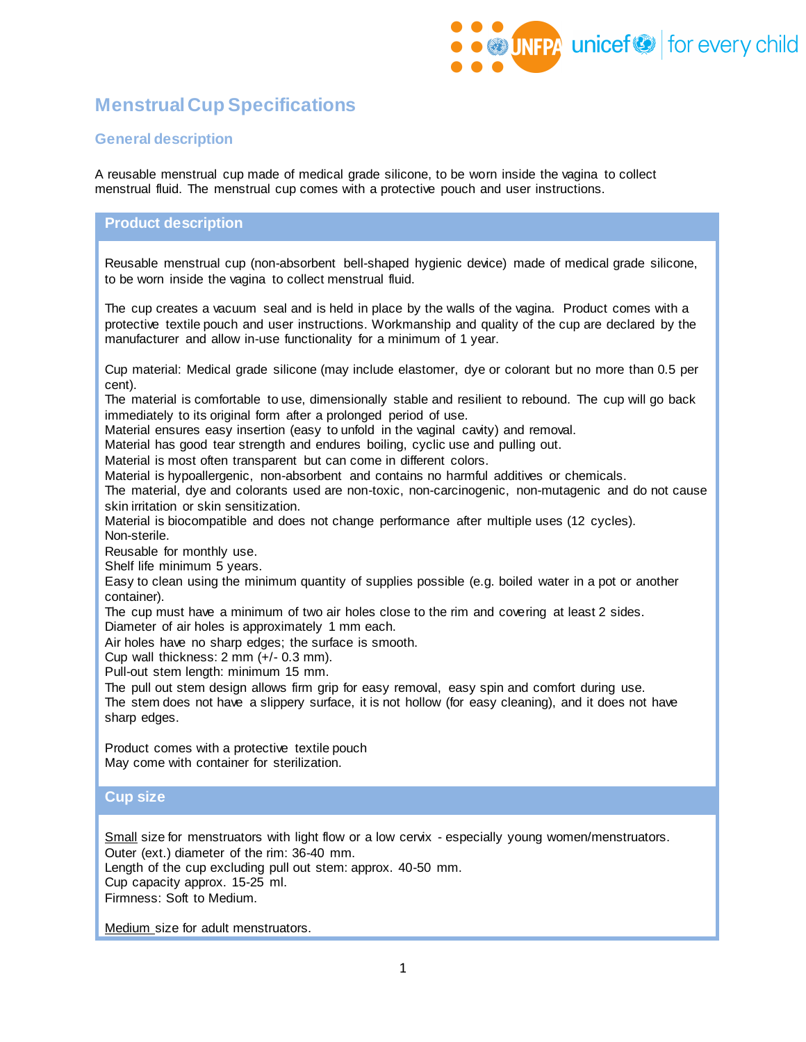

# **Menstrual Cup Specifications**

## **General description**

A reusable menstrual cup made of medical grade silicone, to be worn inside the vagina to collect menstrual fluid. The menstrual cup comes with a protective pouch and user instructions.

#### **Product description**

Reusable menstrual cup (non-absorbent bell-shaped hygienic device) made of medical grade silicone, to be worn inside the vagina to collect menstrual fluid.

The cup creates a vacuum seal and is held in place by the walls of the vagina. Product comes with a protective textile pouch and user instructions. Workmanship and quality of the cup are declared by the manufacturer and allow in-use functionality for a minimum of 1 year.

Cup material: Medical grade silicone (may include elastomer, dye or colorant but no more than 0.5 per cent).

The material is comfortable to use, dimensionally stable and resilient to rebound. The cup will go back immediately to its original form after a prolonged period of use.

Material ensures easy insertion (easy to unfold in the vaginal cavity) and removal.

Material has good tear strength and endures boiling, cyclic use and pulling out.

Material is most often transparent but can come in different colors.

Material is hypoallergenic, non-absorbent and contains no harmful additives or chemicals.

The material, dye and colorants used are non-toxic, non-carcinogenic, non-mutagenic and do not cause skin irritation or skin sensitization.

Material is biocompatible and does not change performance after multiple uses (12 cycles). Non-sterile.

Reusable for monthly use.

Shelf life minimum 5 years.

Easy to clean using the minimum quantity of supplies possible (e.g. boiled water in a pot or another container).

The cup must have a minimum of two air holes close to the rim and covering at least 2 sides. Diameter of air holes is approximately 1 mm each.

Air holes have no sharp edges; the surface is smooth.

Cup wall thickness: 2 mm (+/- 0.3 mm).

Pull-out stem length: minimum 15 mm.

The pull out stem design allows firm grip for easy removal, easy spin and comfort during use. The stem does not have a slippery surface, it is not hollow (for easy cleaning), and it does not have sharp edges.

Product comes with a protective textile pouch May come with container for sterilization.

#### **Cup size**

Small size for menstruators with light flow or a low cervix - especially young women/menstruators. Outer (ext.) diameter of the rim: 36-40 mm.

Length of the cup excluding pull out stem: approx. 40-50 mm.

Cup capacity approx. 15-25 ml.

Firmness: Soft to Medium.

Medium size for adult menstruators.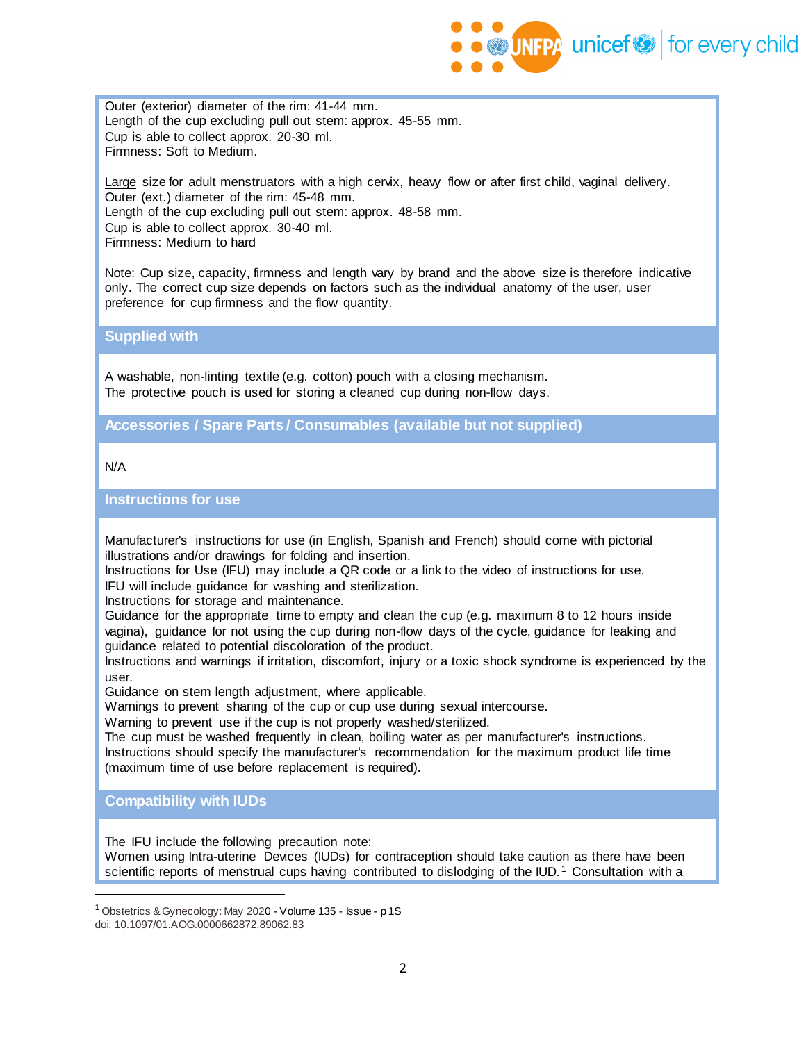

Outer (exterior) diameter of the rim: 41-44 mm. Length of the cup excluding pull out stem: approx. 45-55 mm. Cup is able to collect approx. 20-30 ml. Firmness: Soft to Medium.

Large size for adult menstruators with a high cervix, heavy flow or after first child, vaginal delivery. Outer (ext.) diameter of the rim: 45-48 mm. Length of the cup excluding pull out stem: approx. 48-58 mm. Cup is able to collect approx. 30-40 ml. Firmness: Medium to hard

Note: Cup size, capacity, firmness and length vary by brand and the above size is therefore indicative only. The correct cup size depends on factors such as the individual anatomy of the user, user preference for cup firmness and the flow quantity.

**Supplied with**

A washable, non-linting textile (e.g. cotton) pouch with a closing mechanism. The protective pouch is used for storing a cleaned cup during non-flow days.

**Accessories / Spare Parts / Consumables (available but not supplied)**

N/A

**Instructions for use**

Manufacturer's instructions for use (in English, Spanish and French) should come with pictorial illustrations and/or drawings for folding and insertion.

Instructions for Use (IFU) may include a QR code or a link to the video of instructions for use. IFU will include guidance for washing and sterilization.

Instructions for storage and maintenance.

Guidance for the appropriate time to empty and clean the cup (e.g. maximum 8 to 12 hours inside vagina), guidance for not using the cup during non-flow days of the cycle, guidance for leaking and guidance related to potential discoloration of the product.

Instructions and warnings if irritation, discomfort, injury or a toxic shock syndrome is experienced by the user.

Guidance on stem length adjustment, where applicable.

Warnings to prevent sharing of the cup or cup use during sexual intercourse.

Warning to prevent use if the cup is not properly washed/sterilized.

The cup must be washed frequently in clean, boiling water as per manufacturer's instructions. Instructions should specify the manufacturer's recommendation for the maximum product life time (maximum time of use before replacement is required).

**Compatibility with IUDs**

The IFU include the following precaution note:

Women using Intra-uterine Devices (IUDs) for contraception should take caution as there have been scientific reports of menstrual cups having contributed to dislodging of the IUD.<sup>1</sup> Consultation with a

<sup>&</sup>lt;sup>1</sup> Obstetrics & Gynecology: May 2020 - Volume 135 - Issue - p 1S doi: 10.1097/01.AOG.0000662872.89062.83